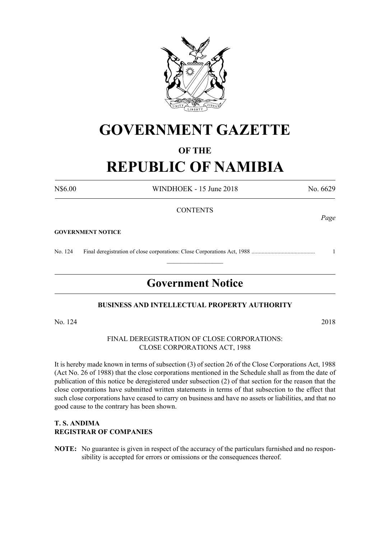

# **GOVERNMENT GAZETTE**

# **OF THE**

# **REPUBLIC OF NAMIBIA**

N\$6.00 WINDHOEK - 15 June 2018 No. 6629

## **CONTENTS**

#### **GOVERNMENT NOTICE**

No. 124 Final deregistration of close corporations: Close Corporations Act, 1988 ............................................ 1

# **Government Notice**

 $\frac{1}{2}$ 

## **BUSINESS AND INTELLECTUAL PROPERTY AUTHORITY**

No. 124 2018

### FINAL DEREGISTRATION OF CLOSE CORPORATIONS: CLOSE CORPORATIONS ACT, 1988

It is hereby made known in terms of subsection (3) of section 26 of the Close Corporations Act, 1988 (Act No. 26 of 1988) that the close corporations mentioned in the Schedule shall as from the date of publication of this notice be deregistered under subsection (2) of that section for the reason that the close corporations have submitted written statements in terms of that subsection to the effect that such close corporations have ceased to carry on business and have no assets or liabilities, and that no good cause to the contrary has been shown.

## **T. S. ANDIMA REGISTRAR OF COMPANIES**

**NOTE:** No guarantee is given in respect of the accuracy of the particulars furnished and no responsibility is accepted for errors or omissions or the consequences thereof.

*Page*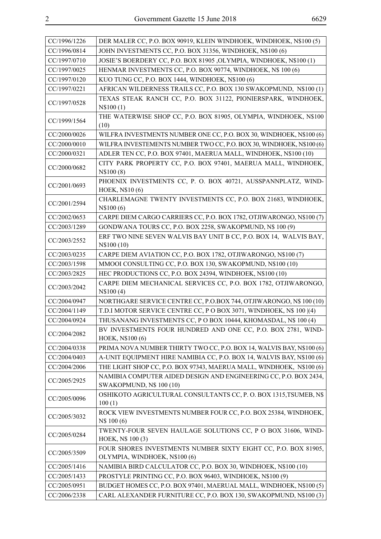| CC/1996/1226 | DER MALER CC, P.O. BOX 90919, KLEIN WINDHOEK, WINDHOEK, N\$100 (5)                                  |
|--------------|-----------------------------------------------------------------------------------------------------|
| CC/1996/0814 | JOHN INVESTMENTS CC, P.O. BOX 31356, WINDHOEK, N\$100 (6)                                           |
| CC/1997/0710 | JOSIE'S BOERDERY CC, P.O. BOX 81905 ,OLYMPIA, WINDHOEK, N\$100 (1)                                  |
| CC/1997/0025 | HENMAR INVESTMENTS CC, P.O. BOX 90774, WINDHOEK, N\$ 100 (6)                                        |
| CC/1997/0120 | KUO TUNG CC, P.O. BOX 1444, WINDHOEK, N\$100 (6)                                                    |
| CC/1997/0221 | AFRICAN WILDERNESS TRAILS CC, P.O. BOX 130 SWAKOPMUND, N\$100 (1)                                   |
| CC/1997/0528 | TEXAS STEAK RANCH CC, P.O. BOX 31122, PIONIERSPARK, WINDHOEK,<br>N\$100(1)                          |
| CC/1999/1564 | THE WATERWISE SHOP CC, P.O. BOX 81905, OLYMPIA, WINDHOEK, N\$100<br>(10)                            |
| CC/2000/0026 | WILFRA INVESTMENTS NUMBER ONE CC, P.O. BOX 30, WINDHOEK, N\$100 (6)                                 |
| CC/2000/0010 | WILFRA INVESTEMENTS NUMBER TWO CC, P.O. BOX 30, WINDHOEK, N\$100 (6)                                |
| CC/2000/0321 | ADLER TEN CC, P.O. BOX 97401, MAERUA MALL, WINDHOEK, N\$100 (10)                                    |
| CC/2000/0682 | CITY PARK PROPERTY CC, P.O. BOX 97401, MAERUA MALL, WINDHOEK,<br>N\$100(8)                          |
| CC/2001/0693 | PHOENIX INVESTMENTS CC, P. O. BOX 40721, AUSSPANNPLATZ, WIND-<br>HOEK, N\$10(6)                     |
| CC/2001/2594 | CHARLEMAGNE TWENTY INVESTMENTS CC, P.O. BOX 21683, WINDHOEK,<br>N\$100(6)                           |
| CC/2002/0653 | CARPE DIEM CARGO CARRIERS CC, P.O. BOX 1782, OTJIWARONGO, N\$100 (7)                                |
| CC/2003/1289 | GONDWANA TOURS CC, P.O. BOX 2258, SWAKOPMUND, N\$ 100 (9)                                           |
| CC/2003/2552 | ERF TWO NINE SEVEN WALVIS BAY UNIT B CC, P.O. BOX 14, WALVIS BAY,<br>N\\$100 (10)                   |
| CC/2003/0235 | CARPE DIEM AVIATION CC, P.O. BOX 1782, OTJIWARONGO, N\$100 (7)                                      |
| CC/2003/1598 | MMOOI CONSULTING CC, P.O. BOX 130, SWAKOPMUND, N\$100 (10)                                          |
| CC/2003/2825 | HEC PRODUCTIONS CC, P.O. BOX 24394, WINDHOEK, N\$100 (10)                                           |
|              |                                                                                                     |
| CC/2003/2042 | CARPE DIEM MECHANICAL SERVICES CC, P.O. BOX 1782, OTJIWARONGO,<br>N\$100(4)                         |
| CC/2004/0947 | NORTHGARE SERVICE CENTRE CC, P.O.BOX 744, OTJIWARONGO, N\$ 100 (10)                                 |
| CC/2004/1149 | T.D.I MOTOR SERVICE CENTRE CC, P O BOX 3071, WINDHOEK, N\$ 100 (4)                                  |
| CC/2004/0924 | THUSANANG INVESTMENTS CC, P O BOX 10444, KHOMASDAL, N\$ 100 (4)                                     |
| CC/2004/2082 | BV INVESTMENTS FOUR HUNDRED AND ONE CC, P.O. BOX 2781, WIND-<br>HOEK, N\$100 (6)                    |
| CC/2004/0338 | PRIMA NOVA NUMBER THIRTY TWO CC, P.O. BOX 14, WALVIS BAY, N\$100 (6)                                |
| CC/2004/0403 | A-UNIT EQUIPMENT HIRE NAMIBIA CC, P.O. BOX 14, WALVIS BAY, N\$100 (6)                               |
| CC/2004/2006 | THE LIGHT SHOP CC, P.O. BOX 97343, MAERUA MALL, WINDHOEK, N\$100 (6)                                |
| CC/2005/2925 | NAMIBIA COMPUTER AIDED DESIGN AND ENGINEERING CC, P.O. BOX 2434,<br><b>SWAKOPMUND, N\$ 100 (10)</b> |
| CC/2005/0096 | OSHIKOTO AGRICULTURAL CONSULTANTS CC, P. O. BOX 1315, TSUMEB, N\$<br>100(1)                         |
| CC/2005/3032 | ROCK VIEW INVESTMENTS NUMBER FOUR CC, P.O. BOX 25384, WINDHOEK,<br>N\$ 100 (6)                      |
| CC/2005/0284 | TWENTY-FOUR SEVEN HAULAGE SOLUTIONS CC, P O BOX 31606, WIND-<br>HOEK, N\$ 100 (3)                   |
| CC/2005/3509 | FOUR SHORES INVESTMENTS NUMBER SIXTY EIGHT CC, P.O. BOX 81905,<br>OLYMPIA, WINDHOEK, N\$100 (6)     |
| CC/2005/1416 | NAMIBIA BIRD CALCULATOR CC, P.O. BOX 30, WINDHOEK, N\$100 (10)                                      |
| CC/2005/1433 | PROSTYLE PRINTING CC, P.O. BOX 96403, WINDHOEK, N\$100 (9)                                          |
| CC/2005/0951 | BUDGET HOMES CC, P.O. BOX 97401, MAERUAL MALL, WINDHOEK, N\$100 (5)                                 |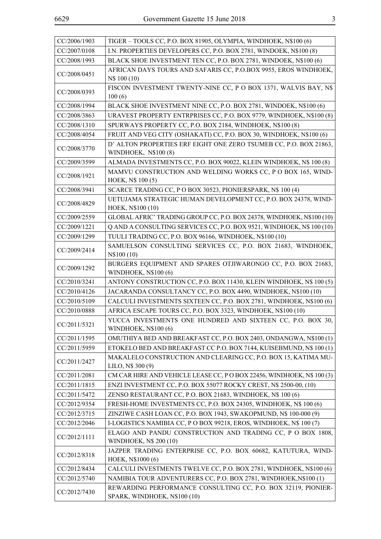| CC/2006/1903 | TIGER - TOOLS CC, P.O. BOX 81905, OLYMPIA, WINDHOEK, N\$100 (6)                               |
|--------------|-----------------------------------------------------------------------------------------------|
| CC/2007/0108 | I.N. PROPERTIES DEVELOPERS CC, P.O. BOX 2781, WINDOEK, N\$100 (8)                             |
| CC/2008/1993 | BLACK SHOE INVESTMENT TEN CC, P.O. BOX 2781, WINDOEK, N\$100 (6)                              |
| CC/2008/0451 | AFRICAN DAYS TOURS AND SAFARIS CC, P.O.BOX 9955, EROS WINDHOEK,<br>N\$ 100 (10)               |
| CC/2008/0393 | FISCON INVESTMENT TWENTY-NINE CC, P O BOX 1371, WALVIS BAY, N\$<br>100(6)                     |
| CC/2008/1994 | BLACK SHOE INVESTMENT NINE CC, P.O. BOX 2781, WINDOEK, N\$100 (6)                             |
| CC/2008/3863 | URAVEST PROPERTY ENTRPRISES CC, P.O. BOX 9779, WINDHOEK, N\$100 (8)                           |
| CC/2008/1310 | SPURWAYS PROPERTY CC, P.O. BOX 2184, WINDHOEK, N\$100 (8)                                     |
| CC/2008/4054 | FRUIT AND VEG CITY (OSHAKATI) CC, P.O. BOX 30, WINDHOEK, N\$100 (6)                           |
| CC/2008/3770 | D' ALTON PROPERTIES ERF EIGHT ONE ZERO TSUMEB CC, P.O. BOX 21863,<br>WINDHOEK, N\$100 (8)     |
| CC/2009/3599 | ALMADA INVESTMENTS CC, P.O. BOX 90022, KLEIN WINDHOEK, N\$ 100 (8)                            |
| CC/2008/1921 | MAMVU CONSTRUCTION AND WELDING WORKS CC, P O BOX 165, WIND-<br>HOEK, N\$ 100 (5)              |
| CC/2008/3941 | SCARCE TRADING CC, P O BOX 30523, PIONIERSPARK, N\$ 100 (4)                                   |
| CC/2008/4829 | UETUJAMA STRATEGIC HUMAN DEVELOPMENT CC, P.O. BOX 24378, WIND-<br>HOEK, N\$100 (10)           |
| CC/2009/2559 | GLOBAL AFRIC' TRADING GROUP CC, P.O. BOX 24378, WINDHOEK, N\$100 (10)                         |
| CC/2009/1221 | Q AND A CONSULTING SERVICES CC, P.O. BOX 9521, WINDHOEK, N\$ 100 (10)                         |
| CC/2009/1299 | TUULI TRADING CC, P.O. BOX 96166, WINDHOEK, N\$100 (10)                                       |
| CC/2009/2414 | SAMUELSON CONSULTING SERVICES CC, P.O. BOX 21683, WINDHOEK,<br>N\\$100 (10)                   |
| CC/2009/1292 | BURGERS EQUIPMENT AND SPARES OTJIWARONGO CC, P.O. BOX 21683,<br><b>WINDHOEK, N\$100 (6)</b>   |
| CC/2010/3241 | ANTONY CONSTRUCTION CC, P.O. BOX 11430, KLEIN WINDHOEK, N\$ 100 (5)                           |
| CC/2010/4126 | JACARANDA CONSULTANCY CC, P.O. BOX 4490, WINDHOEK, N\$100 (10)                                |
| CC/2010/5109 | CALCULI INVESTMENTS SIXTEEN CC, P.O. BOX 2781, WINDHOEK, N\$100 (6)                           |
| CC/2010/0888 | AFRICA ESCAPE TOURS CC, P.O. BOX 3323, WINDHOEK, N\$100 (10)                                  |
| CC/2011/5321 | YUCCA INVESTMENTS ONE HUNDRED AND SIXTEEN CC, P.O. BOX 30,<br>WINDHOEK, N\$100 (6)            |
| CC/2011/1595 | OMUTHIYA BED AND BREAKFAST CC, P.O. BOX 2403, ONDANGWA, N\$100 (1)                            |
| CC/2011/5959 | ETOKELO BED AND BREAKFAST CC P.O. BOX 7144, KUISEBMUND, N\$ 100 (1)                           |
| CC/2011/2427 | MAKALELO CONSTRUCTION AND CLEARING CC, P.O. BOX 15, KATIMA MU-<br>LILO, N\$ 300 (9)           |
| CC/2011/2081 | CM CAR HIRE AND VEHICLE LEASE CC, P O BOX 22456, WINDHOEK, N\$ 100 (3)                        |
| CC/2011/1815 | ENZI INVESTMENT CC, P.O. BOX 55077 ROCKY CREST, N\$ 2500-00, (10)                             |
| CC/2011/5472 | ZENSO RESTAURANT CC, P.O. BOX 21683, WINDHOEK, N\$ 100 (6)                                    |
| CC/2012/9354 | FRESH-HOME INVESTMENTS CC, P.O. BOX 24305, WINDHOEK, N\$ 100 (6)                              |
| CC/2012/3715 | ZINZIWE CASH LOAN CC, P.O. BOX 1943, SWAKOPMUND, N\$ 100-000 (9)                              |
| CC/2012/2046 | I-LOGISTICS NAMIBIA CC, P O BOX 99218, EROS, WINDHOEK, N\$ 100 (7)                            |
| CC/2012/1111 | ELAGO AND PANDU CONSTRUCTION AND TRADING CC, P O BOX 1808,<br>WINDHOEK, N\$ 200 (10)          |
| CC/2012/8318 | JAZPER TRADING ENTERPRISE CC, P.O. BOX 60682, KATUTURA, WIND-<br>HOEK, N\$1000 (6)            |
| CC/2012/8434 | CALCULI INVESTMENTS TWELVE CC, P.O. BOX 2781, WINDHOEK, N\$100 (6)                            |
| CC/2012/5740 | NAMIBIA TOUR ADVENTURERS CC, P.O. BOX 2781, WINDHOEK, N\$100 (1)                              |
| CC/2012/7430 | REWARDING PERFORMANCE CONSULTING CC, P.O. BOX 32119, PIONIER-<br>SPARK, WINDHOEK, N\$100 (10) |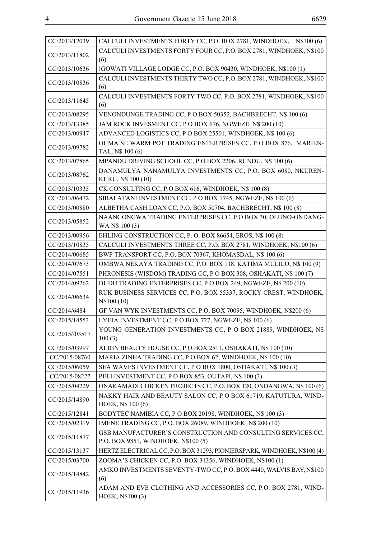| CC/2013/12039  | CALCULI INVESTMENTS FORTY CC, P.O. BOX 2781, WINDHOEK, N\$100 (6)                   |
|----------------|-------------------------------------------------------------------------------------|
|                | CALCULI INVESTMENTS FORTY FOUR CC, P.O. BOX 2781, WINDHOEK, N\$100                  |
| CC/2013/11802  | (6)                                                                                 |
| CC/2013/10636  | !GOWATI VILLAGE LODGE CC, P.O. BOX 90430, WINDHOEK, N\$100 (1)                      |
| CC/2013/10836  | CALCULI INVESTMENTS THIRTY TWO CC, P.O. BOX 2781, WINDHOEK, N\$100<br>(6)           |
| CC/2013/11645  | CALCULI INVESTMENTS FORTY TWO CC, P.O. BOX 2781, WINDHOEK, N\$100<br>(6)            |
| CC/2013/08295  | VENONDUNGE TRADING CC, P O BOX 50352, BACHBRECHT, N\$ 100 (6)                       |
| CC/2013/13385  | JAM ROCK INVESMENT CC, P O BOX 676, NGWEZE, N\$ 200 (10)                            |
| CC/2013/00947  | ADVANCED LOGISTICS CC, P O BOX 25501, WINDHOEK, N\$ 100 (6)                         |
| CC/2013/09782  | OUMA SE WARM POT TRADING ENTERPRISES CC, P O BOX 876, MARIEN-<br>TAL, N\$ 100 (6)   |
| CC/2013/07865  | MPANDU DRIVING SCHOOL CC, P.O.BOX 2206, RUNDU, N\$ 100 (6)                          |
| CC/2013/08762  | DANAMULYA NANAMULYA INVESTMENTS CC, P.O. BOX 6080, NKUREN-                          |
|                | KURU, N\$ 100 (10)                                                                  |
| CC/2013/10335  | CK CONSULTING CC, P.O.BOX 616, WINDHOEK, N\$ 100 (8)                                |
| CC/2013/06472  | SIBALATANI INVESTMENT CC, P O BOX 1745, NGWEZE, N\$ 100 (6)                         |
| CC/2013/00880  | ALBETHA CASH LOAN CC, P.O. BOX 50704, BACHBRECHT, N\$ 100 (8)                       |
| CC/2013/05852  | NAANGONGWA TRADING ENTERPRISES CC, P O BOX 30, OLUNO-ONDANG-<br>WA N\$ 100 (3)      |
| CC/2013/00956  | EHLING CONSTRUCTION CC, P. O. BOX 86654, EROS, N\$ 100 (8)                          |
| CC/2013/10835  | CALCULI INVESTMENTS THREE CC, P.O. BOX 2781, WINDHOEK, N\$100 (6)                   |
| CC/2014/00685  | BWP TRANSPORT CC, P.O. BOX 70367, KHOMASDAL, N\$ 100 (6)                            |
| CC/2014/07673  | OMBWA NEKAYA TRADING CC, P.O. BOX 118, KATIMA MULILO, N\$ 100 (9)                   |
| CC/2014/07551  | PHRONESIS (WISDOM) TRADING CC, P O BOX 308, OSHAKATI, N\$ 100 (7)                   |
| CC/2014/09262  | DUDU TRADING ENTERPRISES CC, P O BOX 249, NGWEZE, N\$ 200 (10)                      |
| CC/2014/06634  | RUK BUSINESS SERVICES CC, P.O. BOX 55337, ROCKY CREST, WINDHOEK,<br>N\\$100 (10)    |
| CC/2014/6484   | GF VAN WYK INVESTMENTS CC, P.O. BOX 70095, WINDHOEK, N\$200 (6)                     |
| CC/2015/14553  | LYEJA INVESTMENT CC, P O BOX 727, NGWEZE, N\$ 100 (6)                               |
| CC/2015//03517 | YOUNG GENERATION INVESTMENTS CC, P O BOX 21889, WINDHOEK, N\$<br>100(3)             |
| CC/2015/03997  | ALIGN BEAUTY HOUSE CC, P O BOX 2511, OSHAKATI, N\$ 100 (10)                         |
| CC/2015/08760  | MARIA ZINHA TRADING CC, P O BOX 62, WINDHOEK, N\$ 100 (10)                          |
| CC/2015/06059  | SEA WAVES INVESTMENT CC, P O BOX 1800, OSHAKATI, N\$ 100 (3)                        |
| CC/2015/08227  | PELI INVESTMENT CC, P O BOX 853, OUTAPI, N\$ 100 (3)                                |
| CC/2015/04229  | ONAKAMADI CHICKEN PROJECTS CC, P.O. BOX 120, ONDANGWA, N\$ 100 (6)                  |
| CC/2015/14890  | NAKKY HAIR AND BEAUTY SALON CC, P O BOX 61719, KATUTURA, WIND-<br>HOEK, N\$ 100 (6) |
| CC/2015/12841  | BODYTEC NAMIBIA CC, P O BOX 20198, WINDHOEK, N\$ 100 (3)                            |
| CC/2015/02319  | IMENE TRADING CC, P.O. BOX 26089, WINDHOEK, N\$ 200 (10)                            |
| CC/2015/11877  | GSB MANUFACTURER'S CONSTRUCTION AND CONSULTING SERVICES CC,                         |
|                | P.O. BOX 9851, WINDHOEK, N\$100 (5)                                                 |
| CC/2015/13137  | HERTZ ELECTRICAL CC, P.O. BOX 31293, PIONIERSPARK, WINDHOEK, N\$100 (4)             |
| CC/2015/03700  | ZOOMA'S CHICKEN CC, P.O. BOX 31356, WINDHOEK, N\$100 (1)                            |
| CC/2015/14842  | AMKO INVESTMENTS SEVENTY-TWO CC, P.O. BOX 4440, WALVIS BAY, N\$100<br>(6)           |
| CC/2015/11936  | ADAM AND EVE CLOTHING AND ACCESSORIES CC, P.O. BOX 2781, WIND-<br>HOEK, N\$100 (3)  |